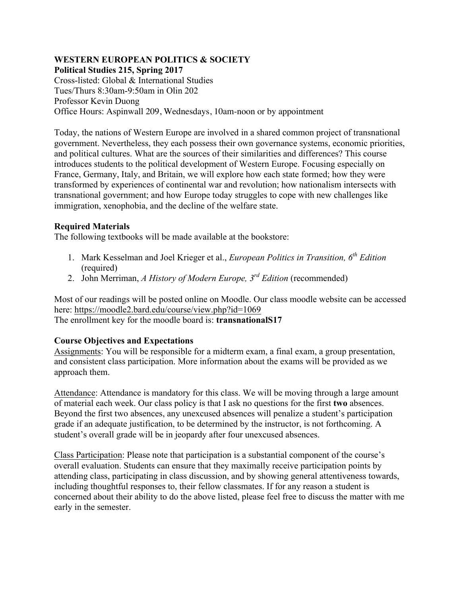## **WESTERN EUROPEAN POLITICS & SOCIETY Political Studies 215, Spring 2017**

Cross-listed: Global & International Studies Tues/Thurs 8:30am-9:50am in Olin 202 Professor Kevin Duong Office Hours: Aspinwall 209, Wednesdays, 10am-noon or by appointment

Today, the nations of Western Europe are involved in a shared common project of transnational government. Nevertheless, they each possess their own governance systems, economic priorities, and political cultures. What are the sources of their similarities and differences? This course introduces students to the political development of Western Europe. Focusing especially on France, Germany, Italy, and Britain, we will explore how each state formed; how they were transformed by experiences of continental war and revolution; how nationalism intersects with transnational government; and how Europe today struggles to cope with new challenges like immigration, xenophobia, and the decline of the welfare state.

# **Required Materials**

The following textbooks will be made available at the bookstore:

- 1. Mark Kesselman and Joel Krieger et al., *European Politics in Transition, 6th Edition* (required)
- 2. John Merriman, *A History of Modern Europe, 3rd Edition* (recommended)

Most of our readings will be posted online on Moodle. Our class moodle website can be accessed here: https://moodle2.bard.edu/course/view.php?id=1069 The enrollment key for the moodle board is: **transnationalS17**

# **Course Objectives and Expectations**

Assignments: You will be responsible for a midterm exam, a final exam, a group presentation, and consistent class participation. More information about the exams will be provided as we approach them.

Attendance: Attendance is mandatory for this class. We will be moving through a large amount of material each week. Our class policy is that I ask no questions for the first **two** absences. Beyond the first two absences, any unexcused absences will penalize a student's participation grade if an adequate justification, to be determined by the instructor, is not forthcoming. A student's overall grade will be in jeopardy after four unexcused absences.

Class Participation: Please note that participation is a substantial component of the course's overall evaluation. Students can ensure that they maximally receive participation points by attending class, participating in class discussion, and by showing general attentiveness towards, including thoughtful responses to, their fellow classmates. If for any reason a student is concerned about their ability to do the above listed, please feel free to discuss the matter with me early in the semester.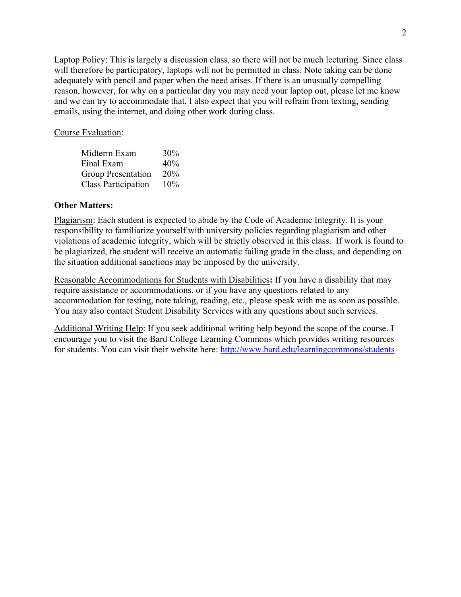Laptop Policy: This is largely a discussion class, so there will not be much lecturing. Since class will therefore be participatory, laptops will not be permitted in class. Note taking can be done adequately with pencil and paper when the need arises. If there is an unusually compelling reason, however, for why on a particular day you may need your laptop out, please let me know and we can try to accommodate that. I also expect that you will refrain from texting, sending emails, using the internet, and doing other work during class.

Course Evaluation:

| Midterm Exam               | 30% |
|----------------------------|-----|
| Final Exam                 | 40% |
| <b>Group Presentation</b>  | 20% |
| <b>Class Participation</b> | 10% |

### **Other Matters:**

Plagiarism: Each student is expected to abide by the Code of Academic Integrity. It is your responsibility to familiarize yourself with university policies regarding plagiarism and other violations of academic integrity, which will be strictly observed in this class. If work is found to be plagiarized, the student will receive an automatic failing grade in the class, and depending on the situation additional sanctions may be imposed by the university.

Reasonable Accommodations for Students with Disabilities**:** If you have a disability that may require assistance or accommodations, or if you have any questions related to any accommodation for testing, note taking, reading, etc., please speak with me as soon as possible. You may also contact Student Disability Services with any questions about such services.

Additional Writing Help: If you seek additional writing help beyond the scope of the course, I encourage you to visit the Bard College Learning Commons which provides writing resources for students. You can visit their website here: http://www.bard.edu/learningcommons/students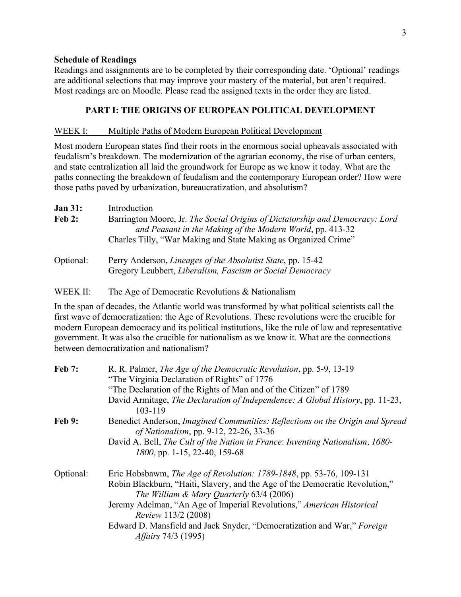### **Schedule of Readings**

Readings and assignments are to be completed by their corresponding date. 'Optional' readings are additional selections that may improve your mastery of the material, but aren't required. Most readings are on Moodle. Please read the assigned texts in the order they are listed.

## **PART I: THE ORIGINS OF EUROPEAN POLITICAL DEVELOPMENT**

#### WEEK I: Multiple Paths of Modern European Political Development

Most modern European states find their roots in the enormous social upheavals associated with feudalism's breakdown. The modernization of the agrarian economy, the rise of urban centers, and state centralization all laid the groundwork for Europe as we know it today. What are the paths connecting the breakdown of feudalism and the contemporary European order? How were those paths paved by urbanization, bureaucratization, and absolutism?

| <b>Jan 31:</b> | Introduction                                                                                                                                                                                                 |
|----------------|--------------------------------------------------------------------------------------------------------------------------------------------------------------------------------------------------------------|
| Feb 2:         | Barrington Moore, Jr. The Social Origins of Dictatorship and Democracy: Lord<br>and Peasant in the Making of the Modern World, pp. 413-32<br>Charles Tilly, "War Making and State Making as Organized Crime" |
| Optional:      | Perry Anderson, Lineages of the Absolutist State, pp. 15-42<br>Gregory Leubbert, Liberalism, Fascism or Social Democracy                                                                                     |

## WEEK II: The Age of Democratic Revolutions & Nationalism

In the span of decades, the Atlantic world was transformed by what political scientists call the first wave of democratization: the Age of Revolutions. These revolutions were the crucible for modern European democracy and its political institutions, like the rule of law and representative government. It was also the crucible for nationalism as we know it. What are the connections between democratization and nationalism?

| <b>Feb 7:</b> | R. R. Palmer, <i>The Age of the Democratic Revolution</i> , pp. 5-9, 13-19<br>"The Virginia Declaration of Rights" of 1776     |
|---------------|--------------------------------------------------------------------------------------------------------------------------------|
|               | "The Declaration of the Rights of Man and of the Citizen" of 1789                                                              |
|               | David Armitage, The Declaration of Independence: A Global History, pp. 11-23,<br>103-119                                       |
| <b>Feb 9:</b> | Benedict Anderson, <i>Imagined Communities: Reflections on the Origin and Spread</i><br>of Nationalism, pp. 9-12, 22-26, 33-36 |
|               | David A. Bell, The Cult of the Nation in France: Inventing Nationalism, 1680-                                                  |
|               | 1800, pp. 1-15, 22-40, 159-68                                                                                                  |
| Optional:     | Eric Hobsbawm, <i>The Age of Revolution: 1789-1848</i> , pp. 53-76, 109-131                                                    |
|               | Robin Blackburn, "Haiti, Slavery, and the Age of the Democratic Revolution,"<br>The William & Mary Quarterly 63/4 (2006)       |
|               | Jeremy Adelman, "An Age of Imperial Revolutions," American Historical<br><i>Review 113/2 (2008)</i>                            |
|               | Edward D. Mansfield and Jack Snyder, "Democratization and War," Foreign<br><i>Affairs</i> 74/3 (1995)                          |
|               |                                                                                                                                |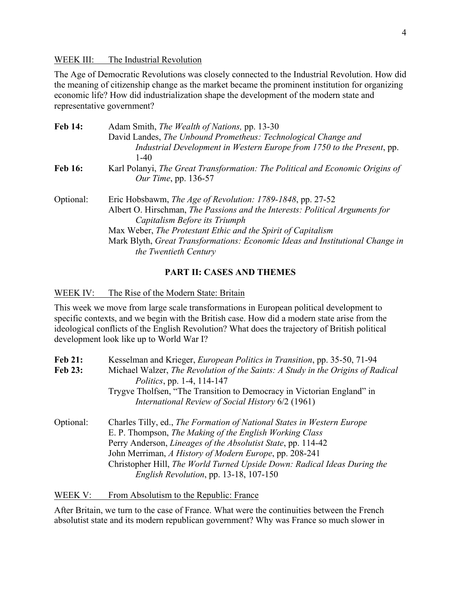WEEK III: The Industrial Revolution

The Age of Democratic Revolutions was closely connected to the Industrial Revolution. How did the meaning of citizenship change as the market became the prominent institution for organizing economic life? How did industrialization shape the development of the modern state and representative government?

| <b>Feb 14:</b> | Adam Smith, <i>The Wealth of Nations</i> , pp. 13-30                                                          |
|----------------|---------------------------------------------------------------------------------------------------------------|
|                | David Landes, The Unbound Prometheus: Technological Change and                                                |
|                | Industrial Development in Western Europe from 1750 to the Present, pp.<br>$1-40$                              |
| <b>Feb 16:</b> | Karl Polanyi, The Great Transformation: The Political and Economic Origins of<br><i>Our Time</i> , pp. 136-57 |
| Optional:      | Eric Hobsbawm, <i>The Age of Revolution: 1789-1848</i> , pp. 27-52                                            |
|                | Albert O. Hirschman, The Passions and the Interests: Political Arguments for                                  |
|                | Capitalism Before its Triumph                                                                                 |
|                | Max Weber, The Protestant Ethic and the Spirit of Capitalism                                                  |
|                | Mark Blyth, Great Transformations: Economic Ideas and Institutional Change in                                 |
|                | the Twentieth Century                                                                                         |

## **PART II: CASES AND THEMES**

WEEK IV: The Rise of the Modern State: Britain

This week we move from large scale transformations in European political development to specific contexts, and we begin with the British case. How did a modern state arise from the ideological conflicts of the English Revolution? What does the trajectory of British political development look like up to World War I?

| Kesselman and Krieger, <i>European Politics in Transition</i> , pp. 35-50, 71-94                                                                                                                          |
|-----------------------------------------------------------------------------------------------------------------------------------------------------------------------------------------------------------|
| Michael Walzer, The Revolution of the Saints: A Study in the Origins of Radical<br><i>Politics</i> , pp. 1-4, 114-147                                                                                     |
| Trygve Tholfsen, "The Transition to Democracy in Victorian England" in                                                                                                                                    |
| International Review of Social History 6/2 (1961)                                                                                                                                                         |
| Charles Tilly, ed., The Formation of National States in Western Europe<br>E. P. Thompson, The Making of the English Working Class<br>Perry Anderson, <i>Lineages of the Absolutist State</i> , pp. 114-42 |
| John Merriman, A History of Modern Europe, pp. 208-241                                                                                                                                                    |
| Christopher Hill, The World Turned Upside Down: Radical Ideas During the<br>English Revolution, pp. 13-18, 107-150                                                                                        |
|                                                                                                                                                                                                           |

WEEK V: From Absolutism to the Republic: France

After Britain, we turn to the case of France. What were the continuities between the French absolutist state and its modern republican government? Why was France so much slower in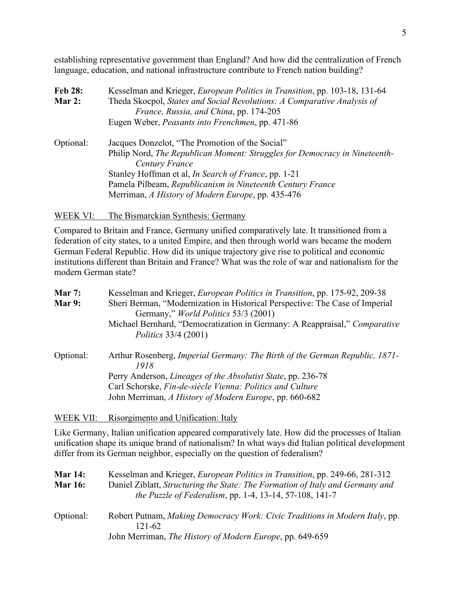establishing representative government than England? And how did the centralization of French language, education, and national infrastructure contribute to French nation building?

| Kesselman and Krieger, <i>European Politics in Transition</i> , pp. 103-18, 131-64 |  |
|------------------------------------------------------------------------------------|--|
| Theda Skocpol, States and Social Revolutions: A Comparative Analysis of            |  |
| France, Russia, and China, pp. 174-205                                             |  |
| Eugen Weber, Peasants into Frenchmen, pp. 471-86                                   |  |
| Jacques Donzelot, "The Promotion of the Social"                                    |  |
| Philip Nord, The Republican Moment: Struggles for Democracy in Nineteenth-         |  |
| Century France                                                                     |  |
| Stanley Hoffman et al, <i>In Search of France</i> , pp. 1-21                       |  |
| Pamela Pilbeam, Republicanism in Nineteenth Century France                         |  |
| Merriman, A History of Modern Europe, pp. 435-476                                  |  |
|                                                                                    |  |

## WEEK VI: The Bismarckian Synthesis: Germany

Compared to Britain and France, Germany unified comparatively late. It transitioned from a federation of city states, to a united Empire, and then through world wars became the modern German Federal Republic. How did its unique trajectory give rise to political and economic institutions different than Britain and France? What was the role of war and nationalism for the modern German state?

# **Mar 7:** Kesselman and Krieger, *European Politics in Transition*, pp. 175-92, 209-38 **Mar 9:** Sheri Berman, "Modernization in Historical Perspective: The Case of Imperial Germany," *World Politics* 53/3 (2001) Michael Bernhard, "Democratization in Germany: A Reappraisal," *Comparative Politics* 33/4 (2001) Optional: Arthur Rosenberg, *Imperial Germany: The Birth of the German Republic, 1871- 1918* Perry Anderson, *Lineages of the Absolutist State*, pp. 236-78 Carl Schorske, *Fin-de-siècle Vienna: Politics and Culture* John Merriman, *A History of Modern Europe*, pp. 660-682

WEEK VII: Risorgimento and Unification: Italy

Like Germany, Italian unification appeared comparatively late. How did the processes of Italian unification shape its unique brand of nationalism? In what ways did Italian political development differ from its German neighbor, especially on the question of federalism?

| <b>Mar 14:</b> | Kesselman and Krieger, <i>European Politics in Transition</i> , pp. 249-66, 281-312                                                             |
|----------------|-------------------------------------------------------------------------------------------------------------------------------------------------|
| <b>Mar 16:</b> | Daniel Ziblatt, Structuring the State: The Formation of Italy and Germany and<br><i>the Puzzle of Federalism, pp. 1-4, 13-14, 57-108, 141-7</i> |
| Optional:      | Robert Putnam, Making Democracy Work: Civic Traditions in Modern Italy, pp.<br>121-62                                                           |
|                | John Merriman, <i>The History of Modern Europe</i> , pp. 649-659                                                                                |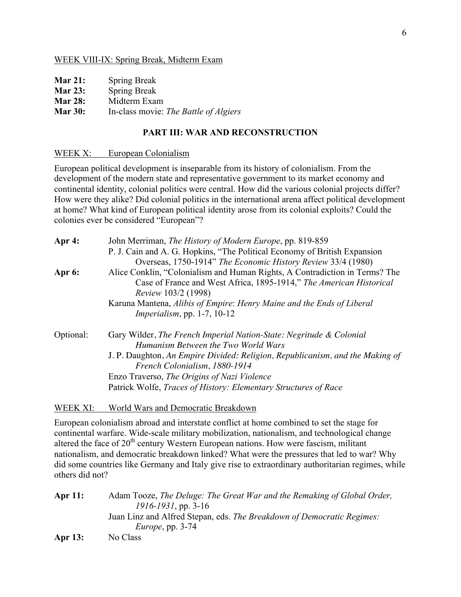### WEEK VIII-IX: Spring Break, Midterm Exam

| <b>Mar 21:</b> | <b>Spring Break</b> |
|----------------|---------------------|
|                |                     |

- **Mar 23:** Spring Break
- **Mar 28:** Midterm Exam

## **Mar 30:** In-class movie: *The Battle of Algiers*

## **PART III: WAR AND RECONSTRUCTION**

### WEEK X: European Colonialism

European political development is inseparable from its history of colonialism. From the development of the modern state and representative government to its market economy and continental identity, colonial politics were central. How did the various colonial projects differ? How were they alike? Did colonial politics in the international arena affect political development at home? What kind of European political identity arose from its colonial exploits? Could the colonies ever be considered "European"?

| John Merriman, <i>The History of Modern Europe</i> , pp. 819-859<br>P. J. Cain and A. G. Hopkins, "The Political Economy of British Expansion<br>Overseas, 1750-1914" The Economic History Review 33/4 (1980) |
|---------------------------------------------------------------------------------------------------------------------------------------------------------------------------------------------------------------|
| Alice Conklin, "Colonialism and Human Rights, A Contradiction in Terms? The<br>Case of France and West Africa, 1895-1914," The American Historical                                                            |
| Karuna Mantena, Alibis of Empire: Henry Maine and the Ends of Liberal                                                                                                                                         |
| Gary Wilder, The French Imperial Nation-State: Negritude & Colonial                                                                                                                                           |
| J. P. Daughton, An Empire Divided: Religion, Republicanism, and the Making of                                                                                                                                 |
| Patrick Wolfe, Traces of History: Elementary Structures of Race                                                                                                                                               |
|                                                                                                                                                                                                               |

### WEEK XI: World Wars and Democratic Breakdown

European colonialism abroad and interstate conflict at home combined to set the stage for continental warfare. Wide-scale military mobilization, nationalism, and technological change altered the face of  $20<sup>th</sup>$  century Western European nations. How were fascism, militant nationalism, and democratic breakdown linked? What were the pressures that led to war? Why did some countries like Germany and Italy give rise to extraordinary authoritarian regimes, while others did not?

**Apr 11:** Adam Tooze, *The Deluge: The Great War and the Remaking of Global Order, 1916-1931*, pp. 3-16 Juan Linz and Alfred Stepan, eds. *The Breakdown of Democratic Regimes: Europe*, pp. 3-74 **Apr 13:** No Class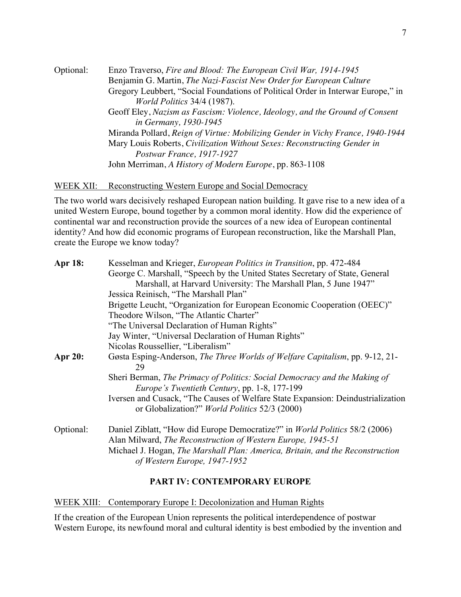Optional: Enzo Traverso, *Fire and Blood: The European Civil War, 1914-1945* Benjamin G. Martin, *The Nazi-Fascist New Order for European Culture* Gregory Leubbert, "Social Foundations of Political Order in Interwar Europe," in *World Politics* 34/4 (1987). Geoff Eley, *Nazism as Fascism: Violence, Ideology, and the Ground of Consent in Germany, 1930-1945* Miranda Pollard, *Reign of Virtue: Mobilizing Gender in Vichy France, 1940-1944* Mary Louis Roberts, *Civilization Without Sexes: Reconstructing Gender in Postwar France, 1917-1927* John Merriman, *A History of Modern Europe*, pp. 863-1108

WEEK XII: Reconstructing Western Europe and Social Democracy

The two world wars decisively reshaped European nation building. It gave rise to a new idea of a united Western Europe, bound together by a common moral identity. How did the experience of continental war and reconstruction provide the sources of a new idea of European continental identity? And how did economic programs of European reconstruction, like the Marshall Plan, create the Europe we know today?

| <b>Apr 18:</b> | Kesselman and Krieger, <i>European Politics in Transition</i> , pp. 472-484                                                             |
|----------------|-----------------------------------------------------------------------------------------------------------------------------------------|
|                | George C. Marshall, "Speech by the United States Secretary of State, General                                                            |
|                | Marshall, at Harvard University: The Marshall Plan, 5 June 1947"                                                                        |
|                | Jessica Reinisch, "The Marshall Plan"                                                                                                   |
|                | Brigette Leucht, "Organization for European Economic Cooperation (OEEC)"                                                                |
|                | Theodore Wilson, "The Atlantic Charter"                                                                                                 |
|                | "The Universal Declaration of Human Rights"                                                                                             |
|                | Jay Winter, "Universal Declaration of Human Rights"                                                                                     |
|                | Nicolas Roussellier, "Liberalism"                                                                                                       |
| <b>Apr 20:</b> | Gøsta Esping-Anderson, The Three Worlds of Welfare Capitalism, pp. 9-12, 21-<br>29                                                      |
|                | Sheri Berman, The Primacy of Politics: Social Democracy and the Making of<br>Europe's Twentieth Century, pp. 1-8, 177-199               |
|                | Iversen and Cusack, "The Causes of Welfare State Expansion: Deindustrialization<br>or Globalization?" <i>World Politics</i> 52/3 (2000) |
| Optional:      | Daniel Ziblatt, "How did Europe Democratize?" in <i>World Politics</i> 58/2 (2006)                                                      |
|                | Alan Milward, The Reconstruction of Western Europe, 1945-51                                                                             |
|                | Michael J. Hogan, The Marshall Plan: America, Britain, and the Reconstruction<br>of Western Europe, 1947-1952                           |

### **PART IV: CONTEMPORARY EUROPE**

WEEK XIII: Contemporary Europe I: Decolonization and Human Rights

If the creation of the European Union represents the political interdependence of postwar Western Europe, its newfound moral and cultural identity is best embodied by the invention and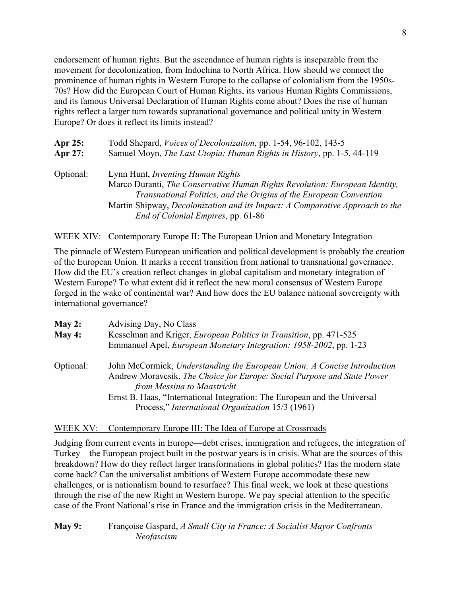endorsement of human rights. But the ascendance of human rights is inseparable from the movement for decolonization, from Indochina to North Africa. How should we connect the prominence of human rights in Western Europe to the collapse of colonialism from the 1950s-70s? How did the European Court of Human Rights, its various Human Rights Commissions, and its famous Universal Declaration of Human Rights come about? Does the rise of human rights reflect a larger turn towards supranational governance and political unity in Western Europe? Or does it reflect its limits instead?

| Apr 25:   | Todd Shepard, <i>Voices of Decolonization</i> , pp. 1-54, 96-102, 143-5                                                                                                                                                                                                       |  |
|-----------|-------------------------------------------------------------------------------------------------------------------------------------------------------------------------------------------------------------------------------------------------------------------------------|--|
| Apr 27:   | Samuel Moyn, The Last Utopia: Human Rights in History, pp. 1-5, 44-119                                                                                                                                                                                                        |  |
| Optional: | Lynn Hunt, <i>Inventing Human Rights</i><br>Marco Duranti, The Conservative Human Rights Revolution: European Identity,<br>Transnational Politics, and the Origins of the European Convention<br>Martin Shipway, Decolonization and its Impact: A Comparative Approach to the |  |
|           | <i>End of Colonial Empires, pp. 61-86</i>                                                                                                                                                                                                                                     |  |

## WEEK XIV: Contemporary Europe II: The European Union and Monetary Integration

The pinnacle of Western European unification and political development is probably the creation of the European Union. It marks a recent transition from national to transnational governance. How did the EU's creation reflect changes in global capitalism and monetary integration of Western Europe? To what extent did it reflect the new moral consensus of Western Europe forged in the wake of continental war? And how does the EU balance national sovereignty with international governance?

| May 2:    | Advising Day, No Class                                                                                                                                                            |  |
|-----------|-----------------------------------------------------------------------------------------------------------------------------------------------------------------------------------|--|
| May 4:    | Kesselman and Kriger, <i>European Politics in Transition</i> , pp. 471-525                                                                                                        |  |
|           | Emmanuel Apel, European Monetary Integration: 1958-2002, pp. 1-23                                                                                                                 |  |
| Optional: | John McCormick, Understanding the European Union: A Concise Introduction<br>Andrew Moravcsik, The Choice for Europe: Social Purpose and State Power<br>from Messina to Maastricht |  |
|           | Ernst B. Haas, "International Integration: The European and the Universal                                                                                                         |  |
|           | Process," International Organization 15/3 (1961)                                                                                                                                  |  |

### WEEK XV: Contemporary Europe III: The Idea of Europe at Crossroads

Judging from current events in Europe—debt crises, immigration and refugees, the integration of Turkey—the European project built in the postwar years is in crisis. What are the sources of this breakdown? How do they reflect larger transformations in global politics? Has the modern state come back? Can the universalist ambitions of Western Europe accommodate these new challenges, or is nationalism bound to resurface? This final week, we look at these questions through the rise of the new Right in Western Europe. We pay special attention to the specific case of the Front National's rise in France and the immigration crisis in the Mediterranean.

## **May 9:** Françoise Gaspard, *A Small City in France: A Socialist Mayor Confronts Neofascism*